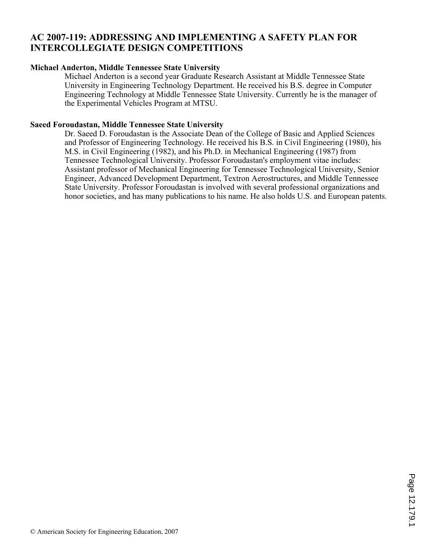## **AC 2007-119: ADDRESSING AND IMPLEMENTING A SAFETY PLAN FOR INTERCOLLEGIATE DESIGN COMPETITIONS**

## **Michael Anderton, Middle Tennessee State University**

Michael Anderton is a second year Graduate Research Assistant at Middle Tennessee State University in Engineering Technology Department. He received his B.S. degree in Computer Engineering Technology at Middle Tennessee State University. Currently he is the manager of the Experimental Vehicles Program at MTSU.

### **Saeed Foroudastan, Middle Tennessee State University**

Dr. Saeed D. Foroudastan is the Associate Dean of the College of Basic and Applied Sciences and Professor of Engineering Technology. He received his B.S. in Civil Engineering (1980), his M.S. in Civil Engineering (1982), and his Ph.D. in Mechanical Engineering (1987) from Tennessee Technological University. Professor Foroudastan's employment vitae includes: Assistant professor of Mechanical Engineering for Tennessee Technological University, Senior Engineer, Advanced Development Department, Textron Aerostructures, and Middle Tennessee State University. Professor Foroudastan is involved with several professional organizations and honor societies, and has many publications to his name. He also holds U.S. and European patents.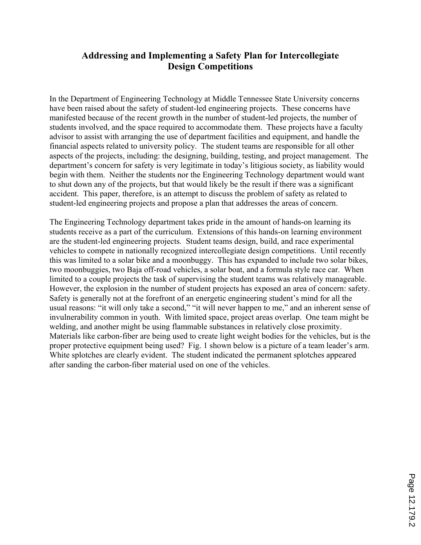# **Addressing and Implementing a Safety Plan for Intercollegiate Design Competitions**

In the Department of Engineering Technology at Middle Tennessee State University concerns have been raised about the safety of student-led engineering projects. These concerns have manifested because of the recent growth in the number of student-led projects, the number of students involved, and the space required to accommodate them. These projects have a faculty advisor to assist with arranging the use of department facilities and equipment, and handle the financial aspects related to university policy. The student teams are responsible for all other aspects of the projects, including: the designing, building, testing, and project management. The department's concern for safety is very legitimate in today's litigious society, as liability would begin with them. Neither the students nor the Engineering Technology department would want to shut down any of the projects, but that would likely be the result if there was a significant accident. This paper, therefore, is an attempt to discuss the problem of safety as related to student-led engineering projects and propose a plan that addresses the areas of concern.

The Engineering Technology department takes pride in the amount of hands-on learning its students receive as a part of the curriculum. Extensions of this hands-on learning environment are the student-led engineering projects. Student teams design, build, and race experimental vehicles to compete in nationally recognized intercollegiate design competitions. Until recently this was limited to a solar bike and a moonbuggy. This has expanded to include two solar bikes, two moonbuggies, two Baja off-road vehicles, a solar boat, and a formula style race car. When limited to a couple projects the task of supervising the student teams was relatively manageable. However, the explosion in the number of student projects has exposed an area of concern: safety. Safety is generally not at the forefront of an energetic engineering student's mind for all the usual reasons: "it will only take a second," "it will never happen to me," and an inherent sense of invulnerability common in youth. With limited space, project areas overlap. One team might be welding, and another might be using flammable substances in relatively close proximity. Materials like carbon-fiber are being used to create light weight bodies for the vehicles, but is the proper protective equipment being used? Fig. 1 shown below is a picture of a team leader's arm. White splotches are clearly evident. The student indicated the permanent splotches appeared after sanding the carbon-fiber material used on one of the vehicles.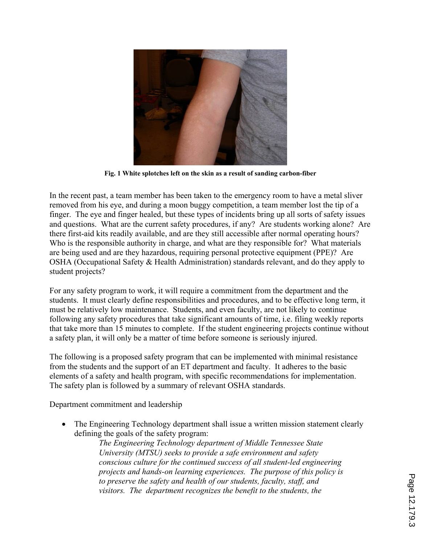

**Fig. 1 White splotches left on the skin as a result of sanding carbon-fiber** 

In the recent past, a team member has been taken to the emergency room to have a metal sliver removed from his eye, and during a moon buggy competition, a team member lost the tip of a finger. The eye and finger healed, but these types of incidents bring up all sorts of safety issues and questions. What are the current safety procedures, if any? Are students working alone? Are there first-aid kits readily available, and are they still accessible after normal operating hours? Who is the responsible authority in charge, and what are they responsible for? What materials are being used and are they hazardous, requiring personal protective equipment (PPE)? Are OSHA (Occupational Safety & Health Administration) standards relevant, and do they apply to student projects?

For any safety program to work, it will require a commitment from the department and the students. It must clearly define responsibilities and procedures, and to be effective long term, it must be relatively low maintenance. Students, and even faculty, are not likely to continue following any safety procedures that take significant amounts of time, i.e. filing weekly reports that take more than 15 minutes to complete. If the student engineering projects continue without a safety plan, it will only be a matter of time before someone is seriously injured.

The following is a proposed safety program that can be implemented with minimal resistance from the students and the support of an ET department and faculty. It adheres to the basic elements of a safety and health program, with specific recommendations for implementation. The safety plan is followed by a summary of relevant OSHA standards.

Department commitment and leadership

• The Engineering Technology department shall issue a written mission statement clearly defining the goals of the safety program:

*The Engineering Technology department of Middle Tennessee State University (MTSU) seeks to provide a safe environment and safety conscious culture for the continued success of all student-led engineering projects and hands-on learning experiences. The purpose of this policy is to preserve the safety and health of our students, faculty, staff, and visitors. The department recognizes the benefit to the students, the*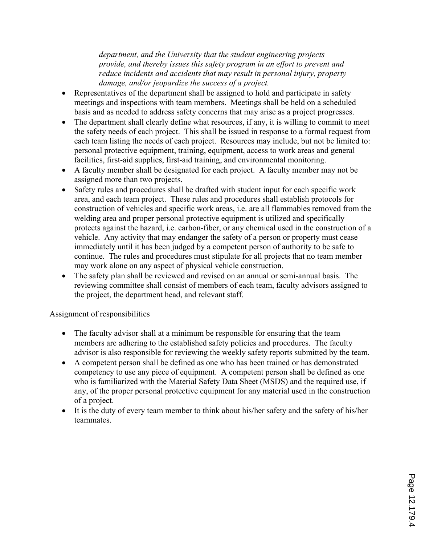*department, and the University that the student engineering projects provide, and thereby issues this safety program in an effort to prevent and reduce incidents and accidents that may result in personal injury, property damage, and/or jeopardize the success of a project.* 

- Representatives of the department shall be assigned to hold and participate in safety meetings and inspections with team members. Meetings shall be held on a scheduled basis and as needed to address safety concerns that may arise as a project progresses.
- The department shall clearly define what resources, if any, it is willing to commit to meet the safety needs of each project. This shall be issued in response to a formal request from each team listing the needs of each project. Resources may include, but not be limited to: personal protective equipment, training, equipment, access to work areas and general facilities, first-aid supplies, first-aid training, and environmental monitoring.
- ' A faculty member shall be designated for each project. A faculty member may not be assigned more than two projects.
- ' Safety rules and procedures shall be drafted with student input for each specific work area, and each team project. These rules and procedures shall establish protocols for construction of vehicles and specific work areas, i.e. are all flammables removed from the welding area and proper personal protective equipment is utilized and specifically protects against the hazard, i.e. carbon-fiber, or any chemical used in the construction of a vehicle. Any activity that may endanger the safety of a person or property must cease immediately until it has been judged by a competent person of authority to be safe to continue. The rules and procedures must stipulate for all projects that no team member may work alone on any aspect of physical vehicle construction.
- The safety plan shall be reviewed and revised on an annual or semi-annual basis. The reviewing committee shall consist of members of each team, faculty advisors assigned to the project, the department head, and relevant staff.

## Assignment of responsibilities

- The faculty advisor shall at a minimum be responsible for ensuring that the team members are adhering to the established safety policies and procedures. The faculty advisor is also responsible for reviewing the weekly safety reports submitted by the team.
- ' A competent person shall be defined as one who has been trained or has demonstrated competency to use any piece of equipment. A competent person shall be defined as one who is familiarized with the Material Safety Data Sheet (MSDS) and the required use, if any, of the proper personal protective equipment for any material used in the construction of a project.
- It is the duty of every team member to think about his/her safety and the safety of his/her **teammates**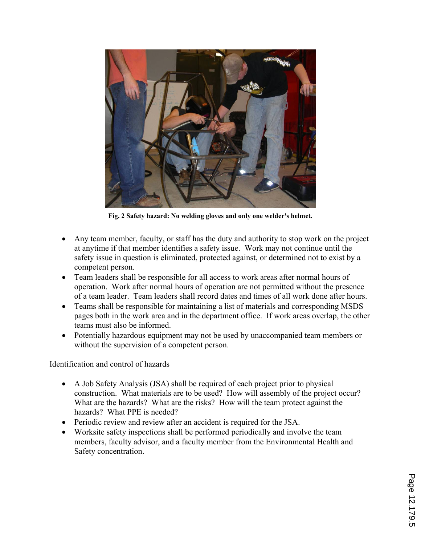

**Fig. 2 Safety hazard: No welding gloves and only one welder's helmet.** 

- ' Any team member, faculty, or staff has the duty and authority to stop work on the project at anytime if that member identifies a safety issue. Work may not continue until the safety issue in question is eliminated, protected against, or determined not to exist by a competent person.
- Team leaders shall be responsible for all access to work areas after normal hours of operation. Work after normal hours of operation are not permitted without the presence of a team leader. Team leaders shall record dates and times of all work done after hours.
- Teams shall be responsible for maintaining a list of materials and corresponding MSDS pages both in the work area and in the department office. If work areas overlap, the other teams must also be informed.
- ' Potentially hazardous equipment may not be used by unaccompanied team members or without the supervision of a competent person.

Identification and control of hazards

- ' A Job Safety Analysis (JSA) shall be required of each project prior to physical construction. What materials are to be used? How will assembly of the project occur? What are the hazards? What are the risks? How will the team protect against the hazards? What PPE is needed?
- ' Periodic review and review after an accident is required for the JSA.
- ' Worksite safety inspections shall be performed periodically and involve the team members, faculty advisor, and a faculty member from the Environmental Health and Safety concentration.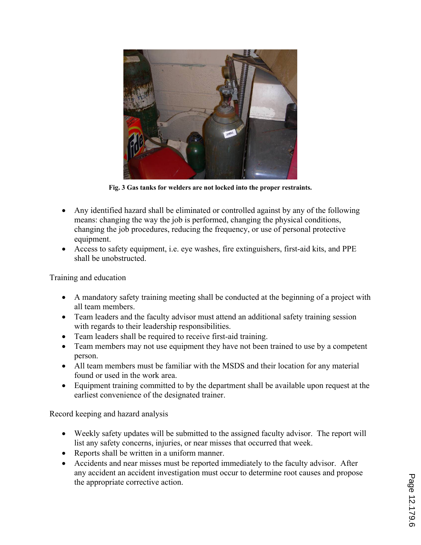

**Fig. 3 Gas tanks for welders are not locked into the proper restraints.** 

- ' Any identified hazard shall be eliminated or controlled against by any of the following means: changing the way the job is performed, changing the physical conditions, changing the job procedures, reducing the frequency, or use of personal protective equipment.
- ' Access to safety equipment, i.e. eye washes, fire extinguishers, first-aid kits, and PPE shall be unobstructed.

Training and education

- ' A mandatory safety training meeting shall be conducted at the beginning of a project with all team members.
- Team leaders and the faculty advisor must attend an additional safety training session with regards to their leadership responsibilities.
- ' Team leaders shall be required to receive first-aid training.
- Team members may not use equipment they have not been trained to use by a competent person.
- ' All team members must be familiar with the MSDS and their location for any material found or used in the work area.
- ' Equipment training committed to by the department shall be available upon request at the earliest convenience of the designated trainer.

Record keeping and hazard analysis

- ' Weekly safety updates will be submitted to the assigned faculty advisor. The report will list any safety concerns, injuries, or near misses that occurred that week.
- ' Reports shall be written in a uniform manner.
- ' Accidents and near misses must be reported immediately to the faculty advisor. After any accident an accident investigation must occur to determine root causes and propose the appropriate corrective action.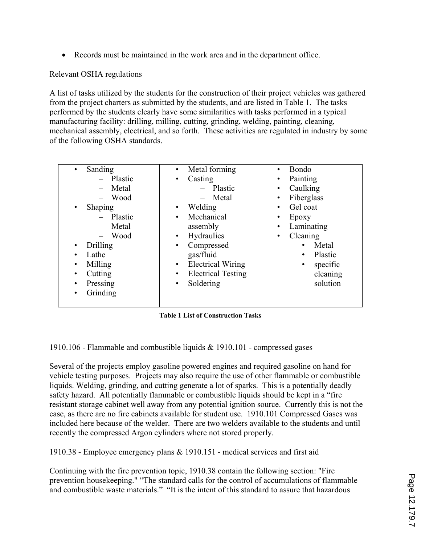' Records must be maintained in the work area and in the department office.

## Relevant OSHA regulations

A list of tasks utilized by the students for the construction of their project vehicles was gathered from the project charters as submitted by the students, and are listed in Table 1. The tasks performed by the students clearly have some similarities with tasks performed in a typical manufacturing facility: drilling, milling, cutting, grinding, welding, painting, cleaning, mechanical assembly, electrical, and so forth. These activities are regulated in industry by some of the following OSHA standards.

| Sanding<br>$\bullet$<br>- Plastic<br>Metal<br>$\equiv$<br>Wood<br>Shaping<br>$\bullet$<br>Plastic<br>Metal<br>Wood<br>Drilling<br>$\bullet$<br>Lathe<br>Milling<br>$\bullet$<br>Cutting<br>Pressing<br>$\bullet$<br>Grinding | Metal forming<br>$\bullet$<br>Casting<br>٠<br>$-$ Plastic<br>Metal<br>$\equiv$<br>Welding<br>$\bullet$<br>Mechanical<br>٠<br>assembly<br><b>Hydraulics</b><br>$\bullet$<br>Compressed<br>$\bullet$<br>gas/fluid<br><b>Electrical Wiring</b><br>$\bullet$<br><b>Electrical Testing</b><br>٠<br>Soldering<br>٠ | <b>Bondo</b><br>$\bullet$<br>Painting<br>٠<br>Caulking<br>٠<br>Fiberglass<br>٠<br>Gel coat<br>٠<br>Epoxy<br>٠<br>Laminating<br>$\bullet$<br>Cleaning<br>٠<br>Metal<br>$\bullet$<br>Plastic<br>$\bullet$<br>specific<br>$\bullet$<br>cleaning<br>solution |
|------------------------------------------------------------------------------------------------------------------------------------------------------------------------------------------------------------------------------|--------------------------------------------------------------------------------------------------------------------------------------------------------------------------------------------------------------------------------------------------------------------------------------------------------------|----------------------------------------------------------------------------------------------------------------------------------------------------------------------------------------------------------------------------------------------------------|
|------------------------------------------------------------------------------------------------------------------------------------------------------------------------------------------------------------------------------|--------------------------------------------------------------------------------------------------------------------------------------------------------------------------------------------------------------------------------------------------------------------------------------------------------------|----------------------------------------------------------------------------------------------------------------------------------------------------------------------------------------------------------------------------------------------------------|

**Table 1 List of Construction Tasks** 

1910.106 - Flammable and combustible liquids & 1910.101 - compressed gases

Several of the projects employ gasoline powered engines and required gasoline on hand for vehicle testing purposes. Projects may also require the use of other flammable or combustible liquids. Welding, grinding, and cutting generate a lot of sparks. This is a potentially deadly safety hazard. All potentially flammable or combustible liquids should be kept in a "fire resistant storage cabinet well away from any potential ignition source. Currently this is not the case, as there are no fire cabinets available for student use. 1910.101 Compressed Gases was included here because of the welder. There are two welders available to the students and until recently the compressed Argon cylinders where not stored properly.

1910.38 - Employee emergency plans & 1910.151 - medical services and first aid

Continuing with the fire prevention topic, 1910.38 contain the following section: "Fire prevention housekeeping." "The standard calls for the control of accumulations of flammable and combustible waste materials." "It is the intent of this standard to assure that hazardous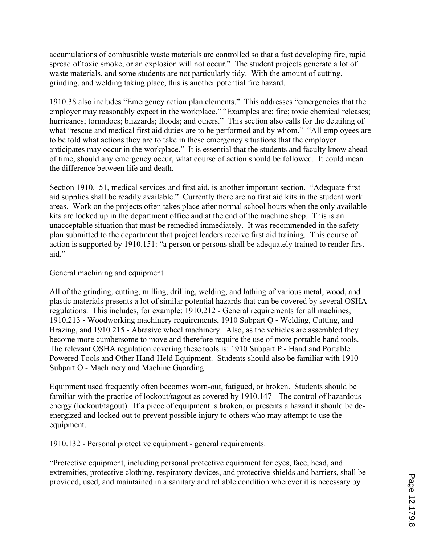accumulations of combustible waste materials are controlled so that a fast developing fire, rapid spread of toxic smoke, or an explosion will not occur." The student projects generate a lot of waste materials, and some students are not particularly tidy. With the amount of cutting, grinding, and welding taking place, this is another potential fire hazard.

1910.38 also includes "Emergency action plan elements." This addresses "emergencies that the employer may reasonably expect in the workplace." "Examples are: fire; toxic chemical releases; hurricanes; tornadoes; blizzards; floods; and others." This section also calls for the detailing of what "rescue and medical first aid duties are to be performed and by whom." "All employees are to be told what actions they are to take in these emergency situations that the employer anticipates may occur in the workplace." It is essential that the students and faculty know ahead of time, should any emergency occur, what course of action should be followed. It could mean the difference between life and death.

Section 1910.151, medical services and first aid, is another important section. "Adequate first aid supplies shall be readily available." Currently there are no first aid kits in the student work areas. Work on the projects often takes place after normal school hours when the only available kits are locked up in the department office and at the end of the machine shop. This is an unacceptable situation that must be remedied immediately. It was recommended in the safety plan submitted to the department that project leaders receive first aid training. This course of action is supported by 1910.151: "a person or persons shall be adequately trained to render first aid."

#### General machining and equipment

All of the grinding, cutting, milling, drilling, welding, and lathing of various metal, wood, and plastic materials presents a lot of similar potential hazards that can be covered by several OSHA regulations. This includes, for example: 1910.212 - General requirements for all machines, 1910.213 - Woodworking machinery requirements, 1910 Subpart Q - Welding, Cutting, and Brazing, and 1910.215 - Abrasive wheel machinery. Also, as the vehicles are assembled they become more cumbersome to move and therefore require the use of more portable hand tools. The relevant OSHA regulation covering these tools is: 1910 Subpart P - Hand and Portable Powered Tools and Other Hand-Held Equipment. Students should also be familiar with 1910 Subpart O - Machinery and Machine Guarding.

Equipment used frequently often becomes worn-out, fatigued, or broken. Students should be familiar with the practice of lockout/tagout as covered by 1910.147 - The control of hazardous energy (lockout/tagout). If a piece of equipment is broken, or presents a hazard it should be deenergized and locked out to prevent possible injury to others who may attempt to use the equipment.

1910.132 - Personal protective equipment - general requirements.

"Protective equipment, including personal protective equipment for eyes, face, head, and extremities, protective clothing, respiratory devices, and protective shields and barriers, shall be provided, used, and maintained in a sanitary and reliable condition wherever it is necessary by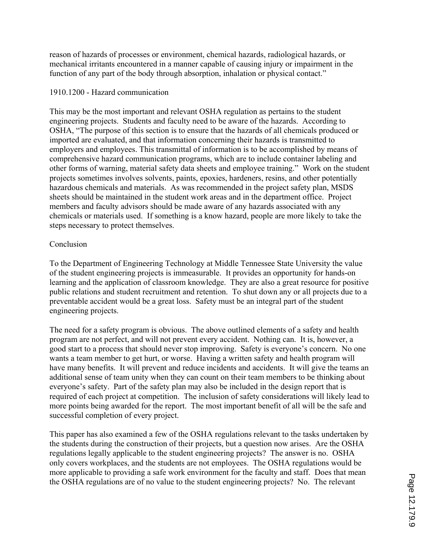reason of hazards of processes or environment, chemical hazards, radiological hazards, or mechanical irritants encountered in a manner capable of causing injury or impairment in the function of any part of the body through absorption, inhalation or physical contact."

## 1910.1200 - Hazard communication

This may be the most important and relevant OSHA regulation as pertains to the student engineering projects. Students and faculty need to be aware of the hazards. According to OSHA, "The purpose of this section is to ensure that the hazards of all chemicals produced or imported are evaluated, and that information concerning their hazards is transmitted to employers and employees. This transmittal of information is to be accomplished by means of comprehensive hazard communication programs, which are to include container labeling and other forms of warning, material safety data sheets and employee training." Work on the student projects sometimes involves solvents, paints, epoxies, hardeners, resins, and other potentially hazardous chemicals and materials. As was recommended in the project safety plan, MSDS sheets should be maintained in the student work areas and in the department office. Project members and faculty advisors should be made aware of any hazards associated with any chemicals or materials used. If something is a know hazard, people are more likely to take the steps necessary to protect themselves.

## Conclusion

To the Department of Engineering Technology at Middle Tennessee State University the value of the student engineering projects is immeasurable. It provides an opportunity for hands-on learning and the application of classroom knowledge. They are also a great resource for positive public relations and student recruitment and retention. To shut down any or all projects due to a preventable accident would be a great loss. Safety must be an integral part of the student engineering projects.

The need for a safety program is obvious. The above outlined elements of a safety and health program are not perfect, and will not prevent every accident. Nothing can. It is, however, a good start to a process that should never stop improving. Safety is everyone's concern. No one wants a team member to get hurt, or worse. Having a written safety and health program will have many benefits. It will prevent and reduce incidents and accidents. It will give the teams an additional sense of team unity when they can count on their team members to be thinking about everyone's safety. Part of the safety plan may also be included in the design report that is required of each project at competition. The inclusion of safety considerations will likely lead to more points being awarded for the report. The most important benefit of all will be the safe and successful completion of every project.

This paper has also examined a few of the OSHA regulations relevant to the tasks undertaken by the students during the construction of their projects, but a question now arises. Are the OSHA regulations legally applicable to the student engineering projects? The answer is no. OSHA only covers workplaces, and the students are not employees. The OSHA regulations would be more applicable to providing a safe work environment for the faculty and staff. Does that mean the OSHA regulations are of no value to the student engineering projects? No. The relevant